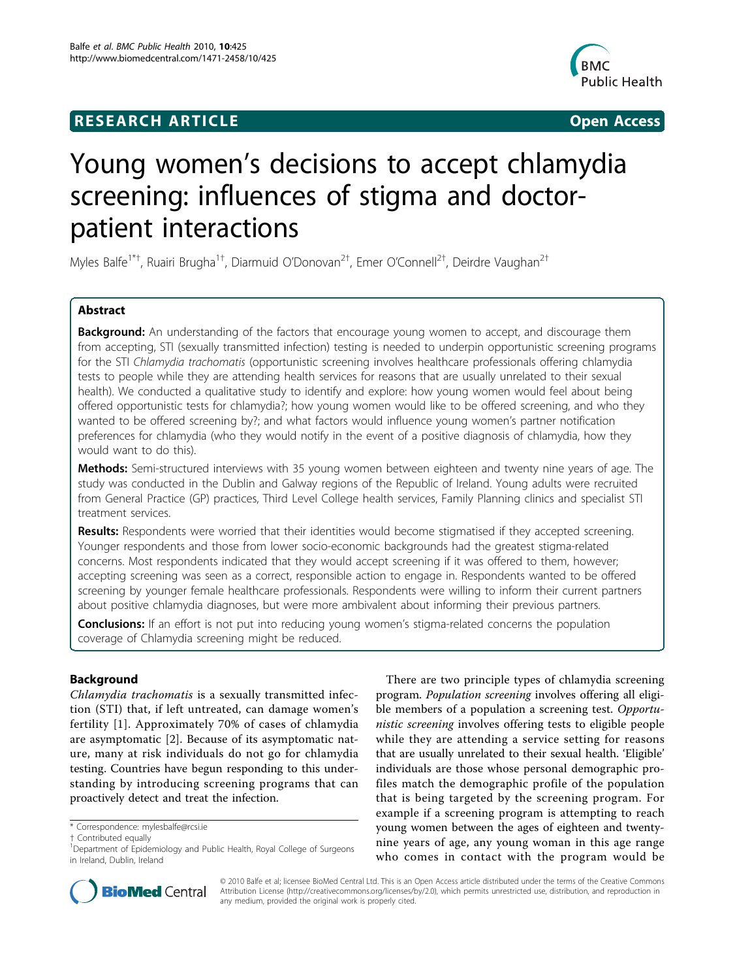## **RESEARCH ARTICLE Example 2018 CONSUMING ACCESS**



# Young women's decisions to accept chlamydia screening: influences of stigma and doctorpatient interactions

Myles Balfe<sup>1\*†</sup>, Ruairi Brugha<sup>1†</sup>, Diarmuid O'Donovan<sup>2†</sup>, Emer O'Connell<sup>2†</sup>, Deirdre Vaughan<sup>2†</sup>

## Abstract

Background: An understanding of the factors that encourage young women to accept, and discourage them from accepting, STI (sexually transmitted infection) testing is needed to underpin opportunistic screening programs for the STI Chlamydia trachomatis (opportunistic screening involves healthcare professionals offering chlamydia tests to people while they are attending health services for reasons that are usually unrelated to their sexual health). We conducted a qualitative study to identify and explore: how young women would feel about being offered opportunistic tests for chlamydia?; how young women would like to be offered screening, and who they wanted to be offered screening by?; and what factors would influence young women's partner notification preferences for chlamydia (who they would notify in the event of a positive diagnosis of chlamydia, how they would want to do this).

**Methods:** Semi-structured interviews with 35 young women between eighteen and twenty nine years of age. The study was conducted in the Dublin and Galway regions of the Republic of Ireland. Young adults were recruited from General Practice (GP) practices, Third Level College health services, Family Planning clinics and specialist STI treatment services.

**Results:** Respondents were worried that their identities would become stigmatised if they accepted screening. Younger respondents and those from lower socio-economic backgrounds had the greatest stigma-related concerns. Most respondents indicated that they would accept screening if it was offered to them, however; accepting screening was seen as a correct, responsible action to engage in. Respondents wanted to be offered screening by younger female healthcare professionals. Respondents were willing to inform their current partners about positive chlamydia diagnoses, but were more ambivalent about informing their previous partners.

**Conclusions:** If an effort is not put into reducing young women's stigma-related concerns the population coverage of Chlamydia screening might be reduced.

## Background

Chlamydia trachomatis is a sexually transmitted infection (STI) that, if left untreated, can damage women's fertility [[1](#page-9-0)]. Approximately 70% of cases of chlamydia are asymptomatic [\[2](#page-9-0)]. Because of its asymptomatic nature, many at risk individuals do not go for chlamydia testing. Countries have begun responding to this understanding by introducing screening programs that can proactively detect and treat the infection.

† Contributed equally <sup>1</sup>

There are two principle types of chlamydia screening program. Population screening involves offering all eligible members of a population a screening test. Opportunistic screening involves offering tests to eligible people while they are attending a service setting for reasons that are usually unrelated to their sexual health. 'Eligible' individuals are those whose personal demographic profiles match the demographic profile of the population that is being targeted by the screening program. For example if a screening program is attempting to reach young women between the ages of eighteen and twentynine years of age, any young woman in this age range who comes in contact with the program would be



© 2010 Balfe et al; licensee BioMed Central Ltd. This is an Open Access article distributed under the terms of the Creative Commons Attribution License [\(http://creativecommons.org/licenses/by/2.0](http://creativecommons.org/licenses/by/2.0)), which permits unrestricted use, distribution, and reproduction in any medium, provided the original work is properly cited.

<sup>\*</sup> Correspondence: [mylesbalfe@rcsi.ie](mailto:mylesbalfe@rcsi.ie)

<sup>&</sup>lt;sup>1</sup>Department of Epidemiology and Public Health, Royal College of Surgeons in Ireland, Dublin, Ireland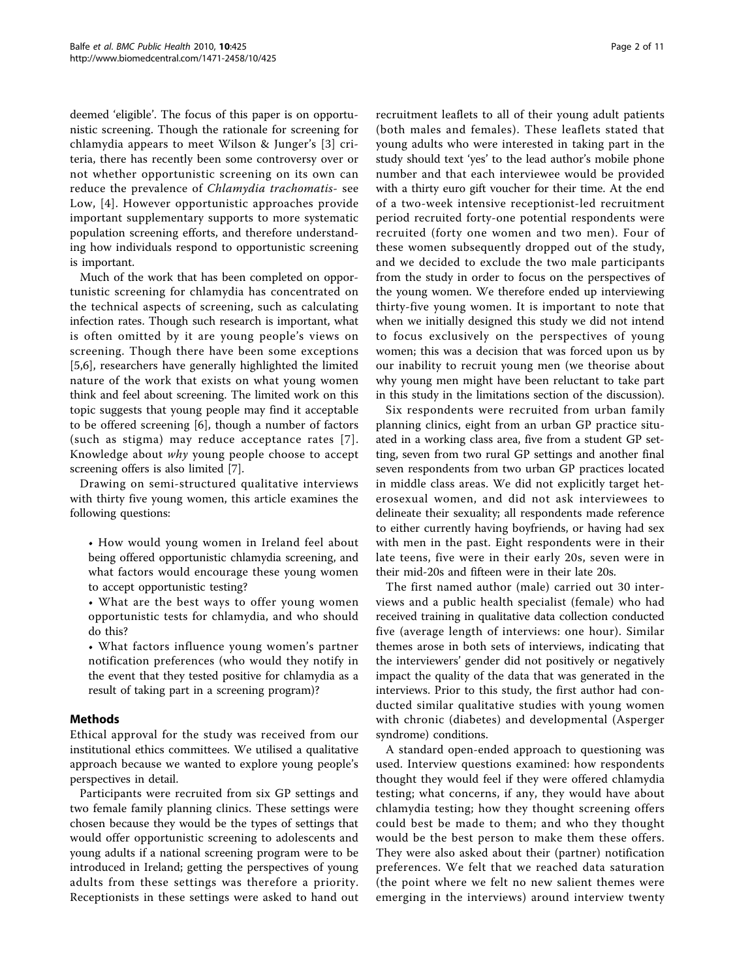deemed 'eligible'. The focus of this paper is on opportunistic screening. Though the rationale for screening for chlamydia appears to meet Wilson & Junger's [[3\]](#page-9-0) criteria, there has recently been some controversy over or not whether opportunistic screening on its own can reduce the prevalence of Chlamydia trachomatis- see Low, [[4](#page-9-0)]. However opportunistic approaches provide important supplementary supports to more systematic population screening efforts, and therefore understanding how individuals respond to opportunistic screening is important.

Much of the work that has been completed on opportunistic screening for chlamydia has concentrated on the technical aspects of screening, such as calculating infection rates. Though such research is important, what is often omitted by it are young people's views on screening. Though there have been some exceptions [[5,6](#page-9-0)], researchers have generally highlighted the limited nature of the work that exists on what young women think and feel about screening. The limited work on this topic suggests that young people may find it acceptable to be offered screening [\[6](#page-9-0)], though a number of factors (such as stigma) may reduce acceptance rates [[7\]](#page-9-0). Knowledge about why young people choose to accept screening offers is also limited [[7\]](#page-9-0).

Drawing on semi-structured qualitative interviews with thirty five young women, this article examines the following questions:

• How would young women in Ireland feel about being offered opportunistic chlamydia screening, and what factors would encourage these young women to accept opportunistic testing?

• What are the best ways to offer young women opportunistic tests for chlamydia, and who should do this?

• What factors influence young women's partner notification preferences (who would they notify in the event that they tested positive for chlamydia as a result of taking part in a screening program)?

## Methods

Ethical approval for the study was received from our institutional ethics committees. We utilised a qualitative approach because we wanted to explore young people's perspectives in detail.

Participants were recruited from six GP settings and two female family planning clinics. These settings were chosen because they would be the types of settings that would offer opportunistic screening to adolescents and young adults if a national screening program were to be introduced in Ireland; getting the perspectives of young adults from these settings was therefore a priority. Receptionists in these settings were asked to hand out recruitment leaflets to all of their young adult patients (both males and females). These leaflets stated that young adults who were interested in taking part in the study should text 'yes' to the lead author's mobile phone number and that each interviewee would be provided with a thirty euro gift voucher for their time. At the end of a two-week intensive receptionist-led recruitment period recruited forty-one potential respondents were recruited (forty one women and two men). Four of these women subsequently dropped out of the study, and we decided to exclude the two male participants from the study in order to focus on the perspectives of the young women. We therefore ended up interviewing thirty-five young women. It is important to note that when we initially designed this study we did not intend to focus exclusively on the perspectives of young women; this was a decision that was forced upon us by our inability to recruit young men (we theorise about why young men might have been reluctant to take part in this study in the limitations section of the discussion).

Six respondents were recruited from urban family planning clinics, eight from an urban GP practice situated in a working class area, five from a student GP setting, seven from two rural GP settings and another final seven respondents from two urban GP practices located in middle class areas. We did not explicitly target heterosexual women, and did not ask interviewees to delineate their sexuality; all respondents made reference to either currently having boyfriends, or having had sex with men in the past. Eight respondents were in their late teens, five were in their early 20s, seven were in their mid-20s and fifteen were in their late 20s.

The first named author (male) carried out 30 interviews and a public health specialist (female) who had received training in qualitative data collection conducted five (average length of interviews: one hour). Similar themes arose in both sets of interviews, indicating that the interviewers' gender did not positively or negatively impact the quality of the data that was generated in the interviews. Prior to this study, the first author had conducted similar qualitative studies with young women with chronic (diabetes) and developmental (Asperger syndrome) conditions.

A standard open-ended approach to questioning was used. Interview questions examined: how respondents thought they would feel if they were offered chlamydia testing; what concerns, if any, they would have about chlamydia testing; how they thought screening offers could best be made to them; and who they thought would be the best person to make them these offers. They were also asked about their (partner) notification preferences. We felt that we reached data saturation (the point where we felt no new salient themes were emerging in the interviews) around interview twenty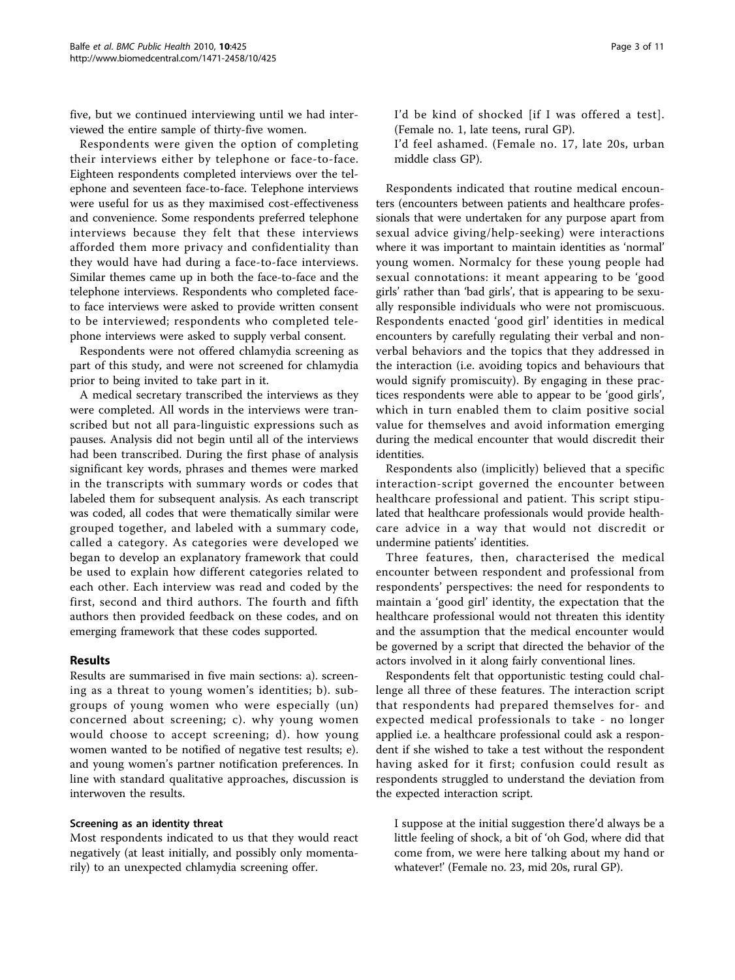five, but we continued interviewing until we had interviewed the entire sample of thirty-five women.

Respondents were given the option of completing their interviews either by telephone or face-to-face. Eighteen respondents completed interviews over the telephone and seventeen face-to-face. Telephone interviews were useful for us as they maximised cost-effectiveness and convenience. Some respondents preferred telephone interviews because they felt that these interviews afforded them more privacy and confidentiality than they would have had during a face-to-face interviews. Similar themes came up in both the face-to-face and the telephone interviews. Respondents who completed faceto face interviews were asked to provide written consent to be interviewed; respondents who completed telephone interviews were asked to supply verbal consent.

Respondents were not offered chlamydia screening as part of this study, and were not screened for chlamydia prior to being invited to take part in it.

A medical secretary transcribed the interviews as they were completed. All words in the interviews were transcribed but not all para-linguistic expressions such as pauses. Analysis did not begin until all of the interviews had been transcribed. During the first phase of analysis significant key words, phrases and themes were marked in the transcripts with summary words or codes that labeled them for subsequent analysis. As each transcript was coded, all codes that were thematically similar were grouped together, and labeled with a summary code, called a category. As categories were developed we began to develop an explanatory framework that could be used to explain how different categories related to each other. Each interview was read and coded by the first, second and third authors. The fourth and fifth authors then provided feedback on these codes, and on emerging framework that these codes supported.

#### Results

Results are summarised in five main sections: a). screening as a threat to young women's identities; b). subgroups of young women who were especially (un) concerned about screening; c). why young women would choose to accept screening; d). how young women wanted to be notified of negative test results; e). and young women's partner notification preferences. In line with standard qualitative approaches, discussion is interwoven the results.

#### Screening as an identity threat

Most respondents indicated to us that they would react negatively (at least initially, and possibly only momentarily) to an unexpected chlamydia screening offer.

I'd be kind of shocked [if I was offered a test]. (Female no. 1, late teens, rural GP).

I'd feel ashamed. (Female no. 17, late 20s, urban middle class GP).

Respondents indicated that routine medical encounters (encounters between patients and healthcare professionals that were undertaken for any purpose apart from sexual advice giving/help-seeking) were interactions where it was important to maintain identities as 'normal' young women. Normalcy for these young people had sexual connotations: it meant appearing to be 'good girls' rather than 'bad girls', that is appearing to be sexually responsible individuals who were not promiscuous. Respondents enacted 'good girl' identities in medical encounters by carefully regulating their verbal and nonverbal behaviors and the topics that they addressed in the interaction (i.e. avoiding topics and behaviours that would signify promiscuity). By engaging in these practices respondents were able to appear to be 'good girls', which in turn enabled them to claim positive social value for themselves and avoid information emerging during the medical encounter that would discredit their identities.

Respondents also (implicitly) believed that a specific interaction-script governed the encounter between healthcare professional and patient. This script stipulated that healthcare professionals would provide healthcare advice in a way that would not discredit or undermine patients' identities.

Three features, then, characterised the medical encounter between respondent and professional from respondents' perspectives: the need for respondents to maintain a 'good girl' identity, the expectation that the healthcare professional would not threaten this identity and the assumption that the medical encounter would be governed by a script that directed the behavior of the actors involved in it along fairly conventional lines.

Respondents felt that opportunistic testing could challenge all three of these features. The interaction script that respondents had prepared themselves for- and expected medical professionals to take - no longer applied i.e. a healthcare professional could ask a respondent if she wished to take a test without the respondent having asked for it first; confusion could result as respondents struggled to understand the deviation from the expected interaction script.

I suppose at the initial suggestion there'd always be a little feeling of shock, a bit of 'oh God, where did that come from, we were here talking about my hand or whatever!' (Female no. 23, mid 20s, rural GP).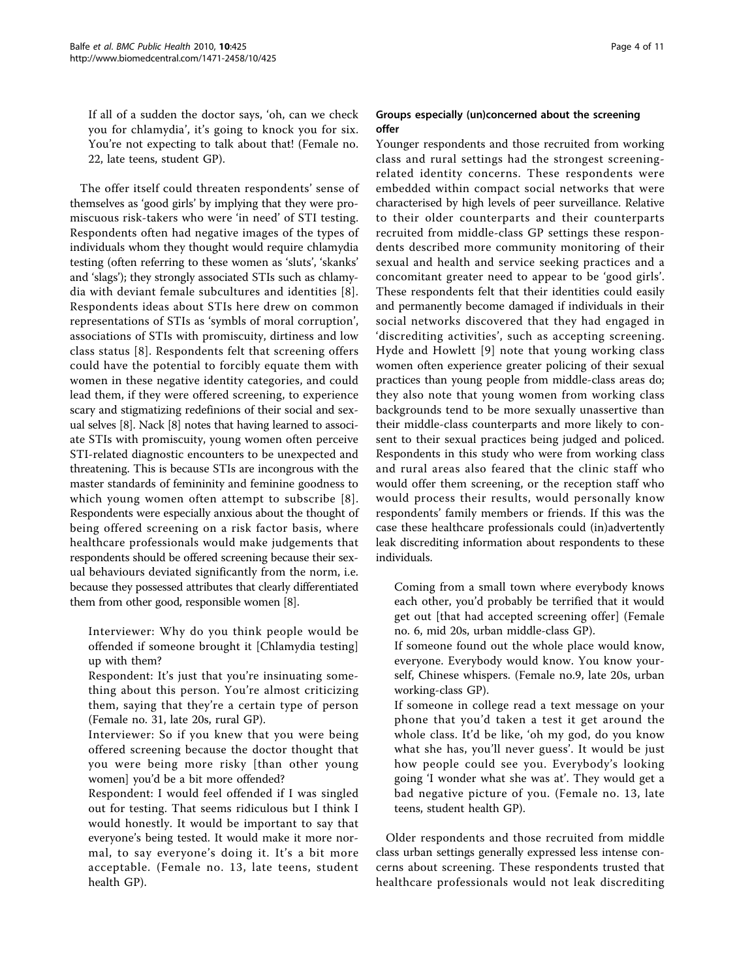If all of a sudden the doctor says, 'oh, can we check you for chlamydia', it's going to knock you for six. You're not expecting to talk about that! (Female no. 22, late teens, student GP).

The offer itself could threaten respondents' sense of themselves as 'good girls' by implying that they were promiscuous risk-takers who were 'in need' of STI testing. Respondents often had negative images of the types of individuals whom they thought would require chlamydia testing (often referring to these women as 'sluts', 'skanks' and 'slags'); they strongly associated STIs such as chlamydia with deviant female subcultures and identities [[8\]](#page-9-0). Respondents ideas about STIs here drew on common representations of STIs as 'symbls of moral corruption', associations of STIs with promiscuity, dirtiness and low class status [[8](#page-9-0)]. Respondents felt that screening offers could have the potential to forcibly equate them with women in these negative identity categories, and could lead them, if they were offered screening, to experience scary and stigmatizing redefinions of their social and sexual selves [[8\]](#page-9-0). Nack [\[8\]](#page-9-0) notes that having learned to associate STIs with promiscuity, young women often perceive STI-related diagnostic encounters to be unexpected and threatening. This is because STIs are incongrous with the master standards of femininity and feminine goodness to which young women often attempt to subscribe [[8\]](#page-9-0). Respondents were especially anxious about the thought of being offered screening on a risk factor basis, where healthcare professionals would make judgements that respondents should be offered screening because their sexual behaviours deviated significantly from the norm, i.e. because they possessed attributes that clearly differentiated them from other good, responsible women [[8\]](#page-9-0).

Interviewer: Why do you think people would be offended if someone brought it [Chlamydia testing] up with them?

Respondent: It's just that you're insinuating something about this person. You're almost criticizing them, saying that they're a certain type of person (Female no. 31, late 20s, rural GP).

Interviewer: So if you knew that you were being offered screening because the doctor thought that you were being more risky [than other young women] you'd be a bit more offended?

Respondent: I would feel offended if I was singled out for testing. That seems ridiculous but I think I would honestly. It would be important to say that everyone's being tested. It would make it more normal, to say everyone's doing it. It's a bit more acceptable. (Female no. 13, late teens, student health GP).

## Groups especially (un)concerned about the screening offer

Younger respondents and those recruited from working class and rural settings had the strongest screeningrelated identity concerns. These respondents were embedded within compact social networks that were characterised by high levels of peer surveillance. Relative to their older counterparts and their counterparts recruited from middle-class GP settings these respondents described more community monitoring of their sexual and health and service seeking practices and a concomitant greater need to appear to be 'good girls'. These respondents felt that their identities could easily and permanently become damaged if individuals in their social networks discovered that they had engaged in 'discrediting activities', such as accepting screening. Hyde and Howlett [[9](#page-9-0)] note that young working class women often experience greater policing of their sexual practices than young people from middle-class areas do; they also note that young women from working class backgrounds tend to be more sexually unassertive than their middle-class counterparts and more likely to consent to their sexual practices being judged and policed. Respondents in this study who were from working class and rural areas also feared that the clinic staff who would offer them screening, or the reception staff who would process their results, would personally know respondents' family members or friends. If this was the case these healthcare professionals could (in)advertently leak discrediting information about respondents to these individuals.

Coming from a small town where everybody knows each other, you'd probably be terrified that it would get out [that had accepted screening offer] (Female no. 6, mid 20s, urban middle-class GP).

If someone found out the whole place would know, everyone. Everybody would know. You know yourself, Chinese whispers. (Female no.9, late 20s, urban working-class GP).

If someone in college read a text message on your phone that you'd taken a test it get around the whole class. It'd be like, 'oh my god, do you know what she has, you'll never guess'. It would be just how people could see you. Everybody's looking going 'I wonder what she was at'. They would get a bad negative picture of you. (Female no. 13, late teens, student health GP).

Older respondents and those recruited from middle class urban settings generally expressed less intense concerns about screening. These respondents trusted that healthcare professionals would not leak discrediting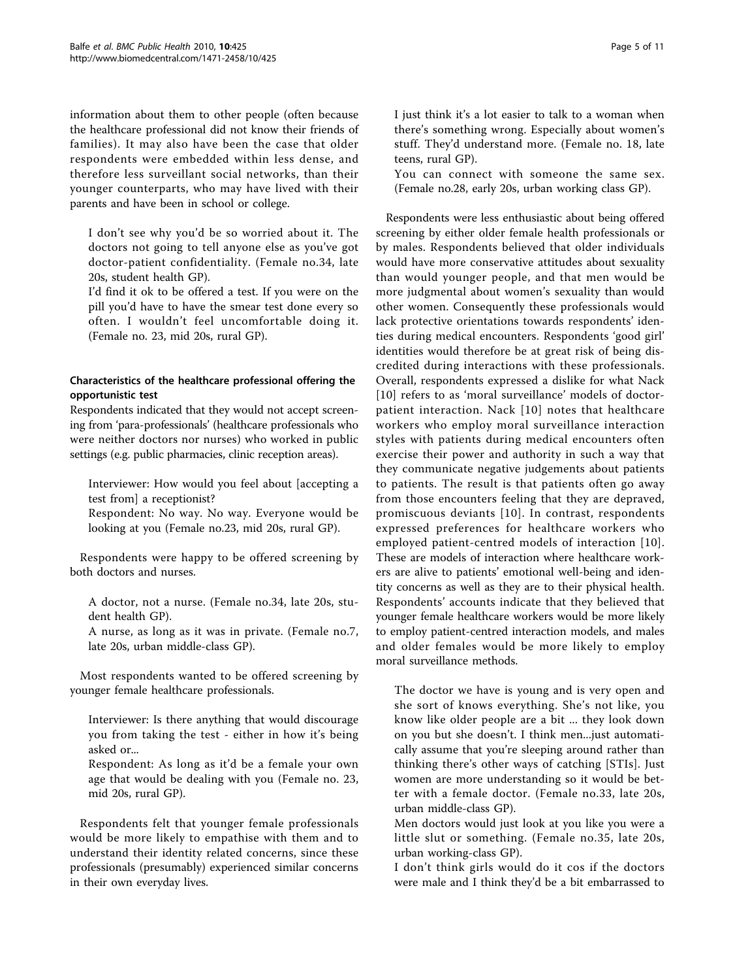information about them to other people (often because the healthcare professional did not know their friends of families). It may also have been the case that older respondents were embedded within less dense, and therefore less surveillant social networks, than their younger counterparts, who may have lived with their parents and have been in school or college.

I don't see why you'd be so worried about it. The doctors not going to tell anyone else as you've got doctor-patient confidentiality. (Female no.34, late 20s, student health GP).

I'd find it ok to be offered a test. If you were on the pill you'd have to have the smear test done every so often. I wouldn't feel uncomfortable doing it. (Female no. 23, mid 20s, rural GP).

## Characteristics of the healthcare professional offering the opportunistic test

Respondents indicated that they would not accept screening from 'para-professionals' (healthcare professionals who were neither doctors nor nurses) who worked in public settings (e.g. public pharmacies, clinic reception areas).

Interviewer: How would you feel about [accepting a test from] a receptionist?

Respondent: No way. No way. Everyone would be looking at you (Female no.23, mid 20s, rural GP).

Respondents were happy to be offered screening by both doctors and nurses.

A doctor, not a nurse. (Female no.34, late 20s, student health GP).

A nurse, as long as it was in private. (Female no.7, late 20s, urban middle-class GP).

Most respondents wanted to be offered screening by younger female healthcare professionals.

Interviewer: Is there anything that would discourage you from taking the test - either in how it's being asked or...

Respondent: As long as it'd be a female your own age that would be dealing with you (Female no. 23, mid 20s, rural GP).

Respondents felt that younger female professionals would be more likely to empathise with them and to understand their identity related concerns, since these professionals (presumably) experienced similar concerns in their own everyday lives.

I just think it's a lot easier to talk to a woman when there's something wrong. Especially about women's stuff. They'd understand more. (Female no. 18, late teens, rural GP).

You can connect with someone the same sex. (Female no.28, early 20s, urban working class GP).

Respondents were less enthusiastic about being offered screening by either older female health professionals or by males. Respondents believed that older individuals would have more conservative attitudes about sexuality than would younger people, and that men would be more judgmental about women's sexuality than would other women. Consequently these professionals would lack protective orientations towards respondents' identies during medical encounters. Respondents 'good girl' identities would therefore be at great risk of being discredited during interactions with these professionals. Overall, respondents expressed a dislike for what Nack [[10](#page-9-0)] refers to as 'moral surveillance' models of doctorpatient interaction. Nack [\[10](#page-9-0)] notes that healthcare workers who employ moral surveillance interaction styles with patients during medical encounters often exercise their power and authority in such a way that they communicate negative judgements about patients to patients. The result is that patients often go away from those encounters feeling that they are depraved, promiscuous deviants [[10\]](#page-9-0). In contrast, respondents expressed preferences for healthcare workers who employed patient-centred models of interaction [[10\]](#page-9-0). These are models of interaction where healthcare workers are alive to patients' emotional well-being and identity concerns as well as they are to their physical health. Respondents' accounts indicate that they believed that younger female healthcare workers would be more likely to employ patient-centred interaction models, and males and older females would be more likely to employ moral surveillance methods.

The doctor we have is young and is very open and she sort of knows everything. She's not like, you know like older people are a bit ... they look down on you but she doesn't. I think men...just automatically assume that you're sleeping around rather than thinking there's other ways of catching [STIs]. Just women are more understanding so it would be better with a female doctor. (Female no.33, late 20s, urban middle-class GP).

Men doctors would just look at you like you were a little slut or something. (Female no.35, late 20s, urban working-class GP).

I don't think girls would do it cos if the doctors were male and I think they'd be a bit embarrassed to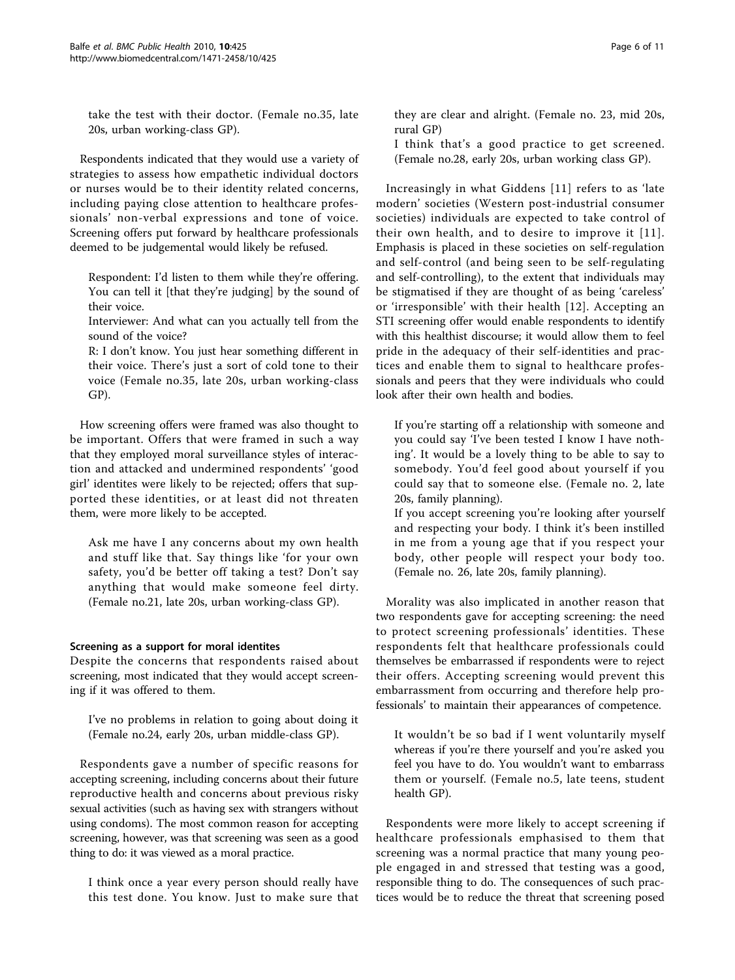take the test with their doctor. (Female no.35, late 20s, urban working-class GP).

Respondents indicated that they would use a variety of strategies to assess how empathetic individual doctors or nurses would be to their identity related concerns, including paying close attention to healthcare professionals' non-verbal expressions and tone of voice. Screening offers put forward by healthcare professionals deemed to be judgemental would likely be refused.

Respondent: I'd listen to them while they're offering. You can tell it [that they're judging] by the sound of their voice.

Interviewer: And what can you actually tell from the sound of the voice?

R: I don't know. You just hear something different in their voice. There's just a sort of cold tone to their voice (Female no.35, late 20s, urban working-class GP).

How screening offers were framed was also thought to be important. Offers that were framed in such a way that they employed moral surveillance styles of interaction and attacked and undermined respondents' 'good girl' identites were likely to be rejected; offers that supported these identities, or at least did not threaten them, were more likely to be accepted.

Ask me have I any concerns about my own health and stuff like that. Say things like 'for your own safety, you'd be better off taking a test? Don't say anything that would make someone feel dirty. (Female no.21, late 20s, urban working-class GP).

#### Screening as a support for moral identites

Despite the concerns that respondents raised about screening, most indicated that they would accept screening if it was offered to them.

I've no problems in relation to going about doing it (Female no.24, early 20s, urban middle-class GP).

Respondents gave a number of specific reasons for accepting screening, including concerns about their future reproductive health and concerns about previous risky sexual activities (such as having sex with strangers without using condoms). The most common reason for accepting screening, however, was that screening was seen as a good thing to do: it was viewed as a moral practice.

I think once a year every person should really have this test done. You know. Just to make sure that they are clear and alright. (Female no. 23, mid 20s, rural GP)

I think that's a good practice to get screened. (Female no.28, early 20s, urban working class GP).

Increasingly in what Giddens [[11](#page-9-0)] refers to as 'late modern' societies (Western post-industrial consumer societies) individuals are expected to take control of their own health, and to desire to improve it [[11\]](#page-9-0). Emphasis is placed in these societies on self-regulation and self-control (and being seen to be self-regulating and self-controlling), to the extent that individuals may be stigmatised if they are thought of as being 'careless' or 'irresponsible' with their health [[12\]](#page-9-0). Accepting an STI screening offer would enable respondents to identify with this healthist discourse; it would allow them to feel pride in the adequacy of their self-identities and practices and enable them to signal to healthcare professionals and peers that they were individuals who could look after their own health and bodies.

If you're starting off a relationship with someone and you could say 'I've been tested I know I have nothing'. It would be a lovely thing to be able to say to somebody. You'd feel good about yourself if you could say that to someone else. (Female no. 2, late 20s, family planning).

If you accept screening you're looking after yourself and respecting your body. I think it's been instilled in me from a young age that if you respect your body, other people will respect your body too. (Female no. 26, late 20s, family planning).

Morality was also implicated in another reason that two respondents gave for accepting screening: the need to protect screening professionals' identities. These respondents felt that healthcare professionals could themselves be embarrassed if respondents were to reject their offers. Accepting screening would prevent this embarrassment from occurring and therefore help professionals' to maintain their appearances of competence.

It wouldn't be so bad if I went voluntarily myself whereas if you're there yourself and you're asked you feel you have to do. You wouldn't want to embarrass them or yourself. (Female no.5, late teens, student health GP).

Respondents were more likely to accept screening if healthcare professionals emphasised to them that screening was a normal practice that many young people engaged in and stressed that testing was a good, responsible thing to do. The consequences of such practices would be to reduce the threat that screening posed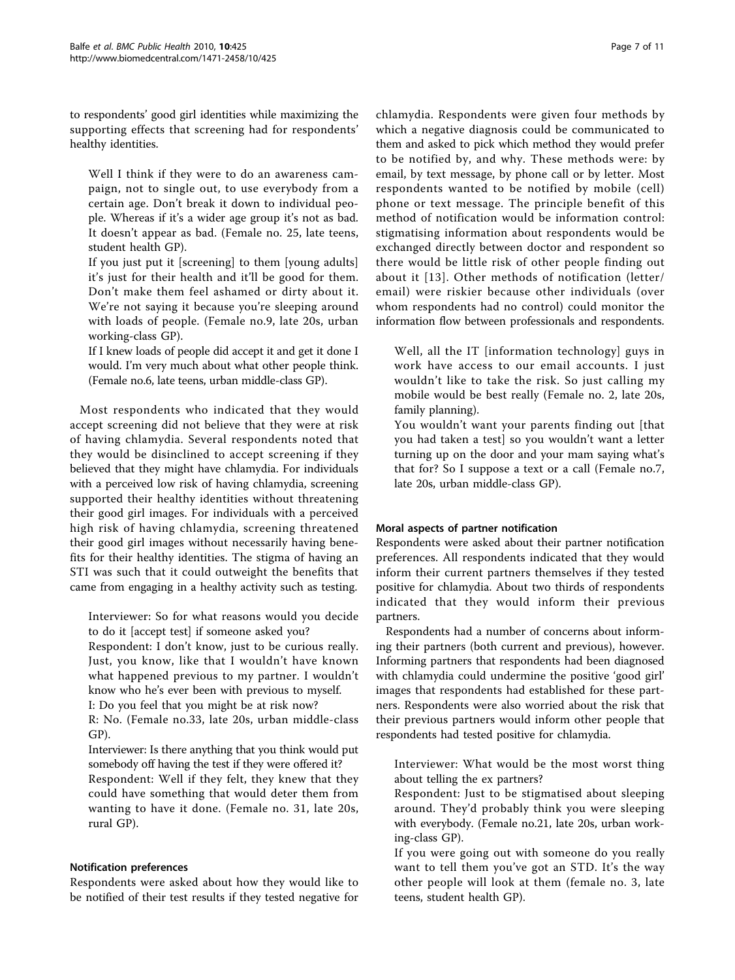to respondents' good girl identities while maximizing the supporting effects that screening had for respondents' healthy identities.

Well I think if they were to do an awareness campaign, not to single out, to use everybody from a certain age. Don't break it down to individual people. Whereas if it's a wider age group it's not as bad. It doesn't appear as bad. (Female no. 25, late teens, student health GP).

If you just put it [screening] to them [young adults] it's just for their health and it'll be good for them. Don't make them feel ashamed or dirty about it. We're not saying it because you're sleeping around with loads of people. (Female no.9, late 20s, urban working-class GP).

If I knew loads of people did accept it and get it done I would. I'm very much about what other people think. (Female no.6, late teens, urban middle-class GP).

Most respondents who indicated that they would accept screening did not believe that they were at risk of having chlamydia. Several respondents noted that they would be disinclined to accept screening if they believed that they might have chlamydia. For individuals with a perceived low risk of having chlamydia, screening supported their healthy identities without threatening their good girl images. For individuals with a perceived high risk of having chlamydia, screening threatened their good girl images without necessarily having benefits for their healthy identities. The stigma of having an STI was such that it could outweight the benefits that came from engaging in a healthy activity such as testing.

Interviewer: So for what reasons would you decide to do it [accept test] if someone asked you?

Respondent: I don't know, just to be curious really. Just, you know, like that I wouldn't have known what happened previous to my partner. I wouldn't know who he's ever been with previous to myself.

I: Do you feel that you might be at risk now?

R: No. (Female no.33, late 20s, urban middle-class GP).

Interviewer: Is there anything that you think would put somebody off having the test if they were offered it? Respondent: Well if they felt, they knew that they could have something that would deter them from wanting to have it done. (Female no. 31, late 20s, rural GP).

## Notification preferences

Respondents were asked about how they would like to be notified of their test results if they tested negative for chlamydia. Respondents were given four methods by which a negative diagnosis could be communicated to them and asked to pick which method they would prefer to be notified by, and why. These methods were: by email, by text message, by phone call or by letter. Most respondents wanted to be notified by mobile (cell) phone or text message. The principle benefit of this method of notification would be information control: stigmatising information about respondents would be exchanged directly between doctor and respondent so there would be little risk of other people finding out about it [[13](#page-9-0)]. Other methods of notification (letter/ email) were riskier because other individuals (over whom respondents had no control) could monitor the information flow between professionals and respondents.

Well, all the IT [information technology] guys in work have access to our email accounts. I just wouldn't like to take the risk. So just calling my mobile would be best really (Female no. 2, late 20s, family planning).

You wouldn't want your parents finding out [that you had taken a test] so you wouldn't want a letter turning up on the door and your mam saying what's that for? So I suppose a text or a call (Female no.7, late 20s, urban middle-class GP).

## Moral aspects of partner notification

Respondents were asked about their partner notification preferences. All respondents indicated that they would inform their current partners themselves if they tested positive for chlamydia. About two thirds of respondents indicated that they would inform their previous partners.

Respondents had a number of concerns about informing their partners (both current and previous), however. Informing partners that respondents had been diagnosed with chlamydia could undermine the positive 'good girl' images that respondents had established for these partners. Respondents were also worried about the risk that their previous partners would inform other people that respondents had tested positive for chlamydia.

Interviewer: What would be the most worst thing about telling the ex partners?

Respondent: Just to be stigmatised about sleeping around. They'd probably think you were sleeping with everybody. (Female no.21, late 20s, urban working-class GP).

If you were going out with someone do you really want to tell them you've got an STD. It's the way other people will look at them (female no. 3, late teens, student health GP).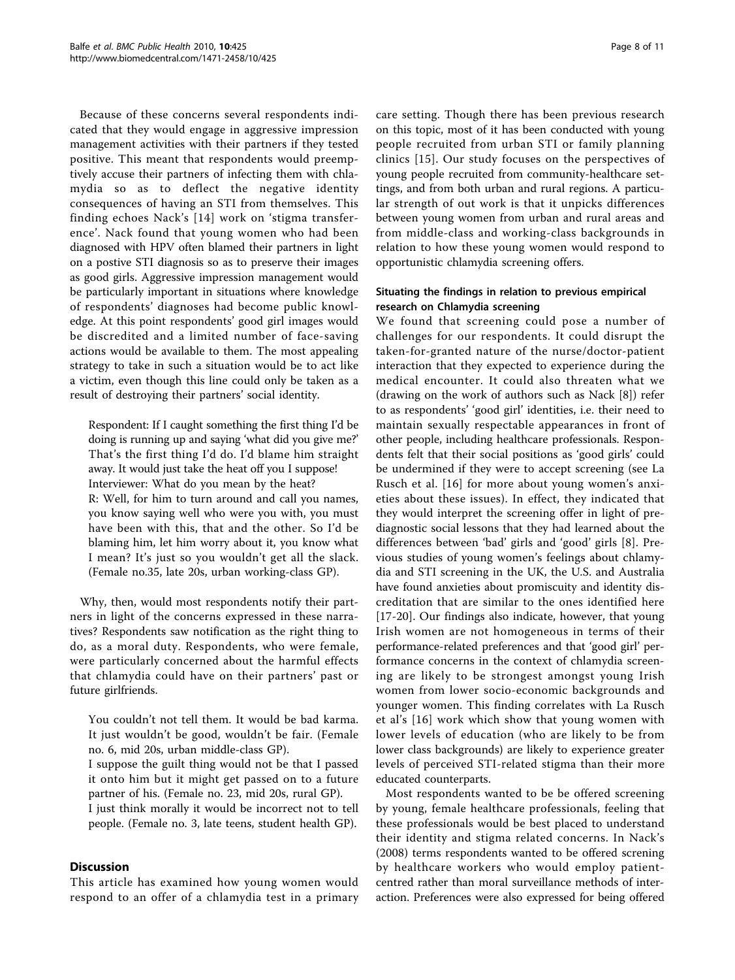Because of these concerns several respondents indicated that they would engage in aggressive impression management activities with their partners if they tested positive. This meant that respondents would preemptively accuse their partners of infecting them with chlamydia so as to deflect the negative identity consequences of having an STI from themselves. This finding echoes Nack's [\[14\]](#page-9-0) work on 'stigma transference'. Nack found that young women who had been diagnosed with HPV often blamed their partners in light on a postive STI diagnosis so as to preserve their images as good girls. Aggressive impression management would be particularly important in situations where knowledge of respondents' diagnoses had become public knowledge. At this point respondents' good girl images would be discredited and a limited number of face-saving actions would be available to them. The most appealing strategy to take in such a situation would be to act like a victim, even though this line could only be taken as a result of destroying their partners' social identity.

Respondent: If I caught something the first thing I'd be doing is running up and saying 'what did you give me?' That's the first thing I'd do. I'd blame him straight away. It would just take the heat off you I suppose! Interviewer: What do you mean by the heat? R: Well, for him to turn around and call you names, you know saying well who were you with, you must have been with this, that and the other. So I'd be blaming him, let him worry about it, you know what I mean? It's just so you wouldn't get all the slack. (Female no.35, late 20s, urban working-class GP).

Why, then, would most respondents notify their partners in light of the concerns expressed in these narratives? Respondents saw notification as the right thing to do, as a moral duty. Respondents, who were female, were particularly concerned about the harmful effects that chlamydia could have on their partners' past or future girlfriends.

You couldn't not tell them. It would be bad karma. It just wouldn't be good, wouldn't be fair. (Female no. 6, mid 20s, urban middle-class GP).

I suppose the guilt thing would not be that I passed it onto him but it might get passed on to a future partner of his. (Female no. 23, mid 20s, rural GP).

I just think morally it would be incorrect not to tell people. (Female no. 3, late teens, student health GP).

## **Discussion**

This article has examined how young women would respond to an offer of a chlamydia test in a primary care setting. Though there has been previous research on this topic, most of it has been conducted with young people recruited from urban STI or family planning clinics [\[15\]](#page-9-0). Our study focuses on the perspectives of young people recruited from community-healthcare settings, and from both urban and rural regions. A particular strength of out work is that it unpicks differences between young women from urban and rural areas and from middle-class and working-class backgrounds in relation to how these young women would respond to opportunistic chlamydia screening offers.

## Situating the findings in relation to previous empirical research on Chlamydia screening

We found that screening could pose a number of challenges for our respondents. It could disrupt the taken-for-granted nature of the nurse/doctor-patient interaction that they expected to experience during the medical encounter. It could also threaten what we (drawing on the work of authors such as Nack [[8\]](#page-9-0)) refer to as respondents' 'good girl' identities, i.e. their need to maintain sexually respectable appearances in front of other people, including healthcare professionals. Respondents felt that their social positions as 'good girls' could be undermined if they were to accept screening (see La Rusch et al. [[16\]](#page-9-0) for more about young women's anxieties about these issues). In effect, they indicated that they would interpret the screening offer in light of prediagnostic social lessons that they had learned about the differences between 'bad' girls and 'good' girls [[8](#page-9-0)]. Previous studies of young women's feelings about chlamydia and STI screening in the UK, the U.S. and Australia have found anxieties about promiscuity and identity discreditation that are similar to the ones identified here [[17-20](#page-9-0)]. Our findings also indicate, however, that young Irish women are not homogeneous in terms of their performance-related preferences and that 'good girl' performance concerns in the context of chlamydia screening are likely to be strongest amongst young Irish women from lower socio-economic backgrounds and younger women. This finding correlates with La Rusch et al's [[16](#page-9-0)] work which show that young women with lower levels of education (who are likely to be from lower class backgrounds) are likely to experience greater levels of perceived STI-related stigma than their more educated counterparts.

Most respondents wanted to be be offered screening by young, female healthcare professionals, feeling that these professionals would be best placed to understand their identity and stigma related concerns. In Nack's (2008) terms respondents wanted to be offered screning by healthcare workers who would employ patientcentred rather than moral surveillance methods of interaction. Preferences were also expressed for being offered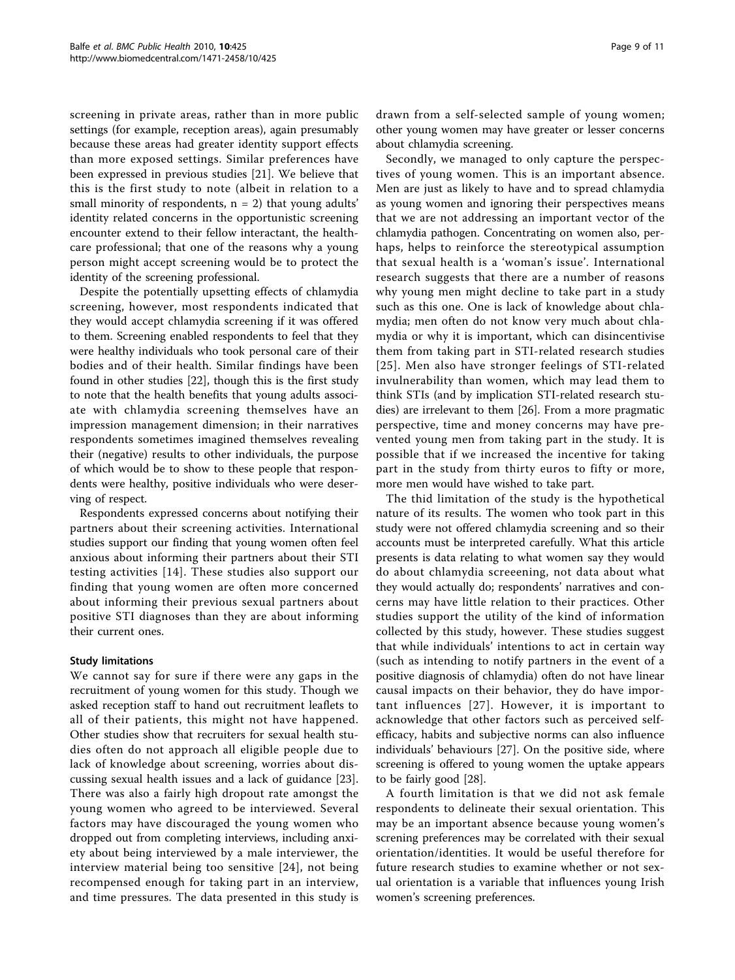screening in private areas, rather than in more public settings (for example, reception areas), again presumably because these areas had greater identity support effects than more exposed settings. Similar preferences have been expressed in previous studies [[21\]](#page-9-0). We believe that this is the first study to note (albeit in relation to a small minority of respondents,  $n = 2$ ) that young adults' identity related concerns in the opportunistic screening encounter extend to their fellow interactant, the healthcare professional; that one of the reasons why a young person might accept screening would be to protect the identity of the screening professional.

Despite the potentially upsetting effects of chlamydia screening, however, most respondents indicated that they would accept chlamydia screening if it was offered to them. Screening enabled respondents to feel that they were healthy individuals who took personal care of their bodies and of their health. Similar findings have been found in other studies [[22\]](#page-9-0), though this is the first study to note that the health benefits that young adults associate with chlamydia screening themselves have an impression management dimension; in their narratives respondents sometimes imagined themselves revealing their (negative) results to other individuals, the purpose of which would be to show to these people that respondents were healthy, positive individuals who were deserving of respect.

Respondents expressed concerns about notifying their partners about their screening activities. International studies support our finding that young women often feel anxious about informing their partners about their STI testing activities [[14](#page-9-0)]. These studies also support our finding that young women are often more concerned about informing their previous sexual partners about positive STI diagnoses than they are about informing their current ones.

## Study limitations

We cannot say for sure if there were any gaps in the recruitment of young women for this study. Though we asked reception staff to hand out recruitment leaflets to all of their patients, this might not have happened. Other studies show that recruiters for sexual health studies often do not approach all eligible people due to lack of knowledge about screening, worries about discussing sexual health issues and a lack of guidance [\[23](#page-9-0)]. There was also a fairly high dropout rate amongst the young women who agreed to be interviewed. Several factors may have discouraged the young women who dropped out from completing interviews, including anxiety about being interviewed by a male interviewer, the interview material being too sensitive [[24\]](#page-9-0), not being recompensed enough for taking part in an interview, and time pressures. The data presented in this study is

drawn from a self-selected sample of young women; other young women may have greater or lesser concerns about chlamydia screening.

Secondly, we managed to only capture the perspectives of young women. This is an important absence. Men are just as likely to have and to spread chlamydia as young women and ignoring their perspectives means that we are not addressing an important vector of the chlamydia pathogen. Concentrating on women also, perhaps, helps to reinforce the stereotypical assumption that sexual health is a 'woman's issue'. International research suggests that there are a number of reasons why young men might decline to take part in a study such as this one. One is lack of knowledge about chlamydia; men often do not know very much about chlamydia or why it is important, which can disincentivise them from taking part in STI-related research studies [[25\]](#page-9-0). Men also have stronger feelings of STI-related invulnerability than women, which may lead them to think STIs (and by implication STI-related research studies) are irrelevant to them [[26\]](#page-9-0). From a more pragmatic perspective, time and money concerns may have prevented young men from taking part in the study. It is possible that if we increased the incentive for taking part in the study from thirty euros to fifty or more, more men would have wished to take part.

The thid limitation of the study is the hypothetical nature of its results. The women who took part in this study were not offered chlamydia screening and so their accounts must be interpreted carefully. What this article presents is data relating to what women say they would do about chlamydia screeening, not data about what they would actually do; respondents' narratives and concerns may have little relation to their practices. Other studies support the utility of the kind of information collected by this study, however. These studies suggest that while individuals' intentions to act in certain way (such as intending to notify partners in the event of a positive diagnosis of chlamydia) often do not have linear causal impacts on their behavior, they do have important influences [[27](#page-10-0)]. However, it is important to acknowledge that other factors such as perceived selfefficacy, habits and subjective norms can also influence individuals' behaviours [[27\]](#page-10-0). On the positive side, where screening is offered to young women the uptake appears to be fairly good [[28\]](#page-10-0).

A fourth limitation is that we did not ask female respondents to delineate their sexual orientation. This may be an important absence because young women's screning preferences may be correlated with their sexual orientation/identities. It would be useful therefore for future research studies to examine whether or not sexual orientation is a variable that influences young Irish women's screening preferences.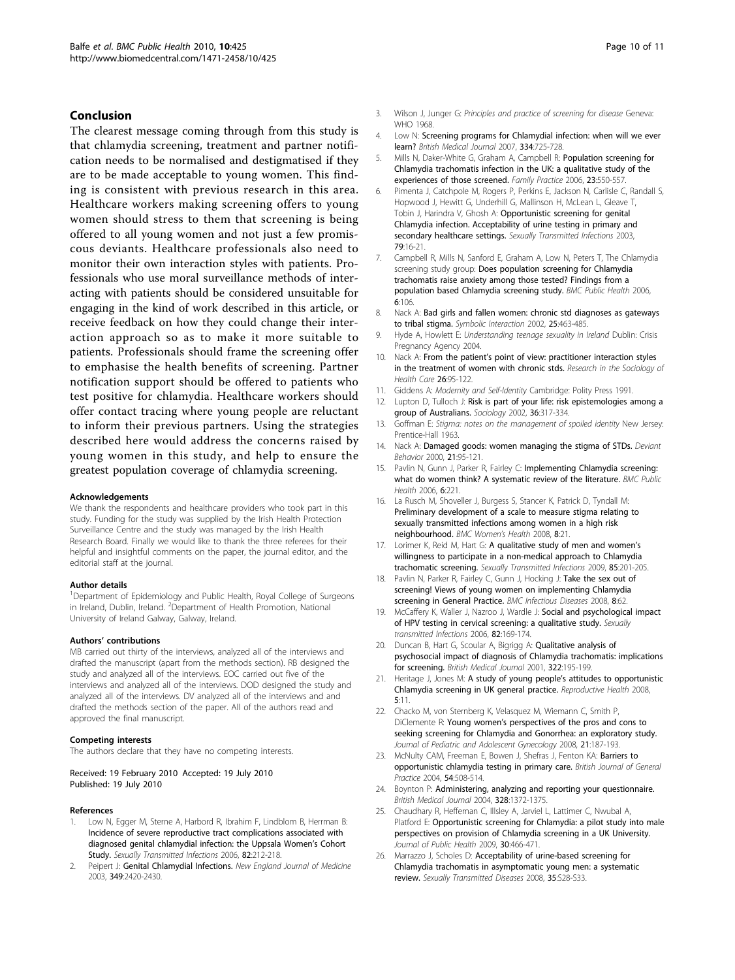#### <span id="page-9-0"></span>Conclusion

The clearest message coming through from this study is that chlamydia screening, treatment and partner notification needs to be normalised and destigmatised if they are to be made acceptable to young women. This finding is consistent with previous research in this area. Healthcare workers making screening offers to young women should stress to them that screening is being offered to all young women and not just a few promiscous deviants. Healthcare professionals also need to monitor their own interaction styles with patients. Professionals who use moral surveillance methods of interacting with patients should be considered unsuitable for engaging in the kind of work described in this article, or receive feedback on how they could change their interaction approach so as to make it more suitable to patients. Professionals should frame the screening offer to emphasise the health benefits of screening. Partner notification support should be offered to patients who test positive for chlamydia. Healthcare workers should offer contact tracing where young people are reluctant to inform their previous partners. Using the strategies described here would address the concerns raised by young women in this study, and help to ensure the greatest population coverage of chlamydia screening.

#### Acknowledgements

We thank the respondents and healthcare providers who took part in this study. Funding for the study was supplied by the Irish Health Protection Surveillance Centre and the study was managed by the Irish Health Research Board. Finally we would like to thank the three referees for their helpful and insightful comments on the paper, the journal editor, and the editorial staff at the journal.

#### Author details

<sup>1</sup>Department of Epidemiology and Public Health, Royal College of Surgeons in Ireland, Dublin, Ireland. <sup>2</sup>Department of Health Promotion, National University of Ireland Galway, Galway, Ireland.

#### Authors' contributions

MB carried out thirty of the interviews, analyzed all of the interviews and drafted the manuscript (apart from the methods section). RB designed the study and analyzed all of the interviews. EOC carried out five of the interviews and analyzed all of the interviews. DOD designed the study and analyzed all of the interviews. DV analyzed all of the interviews and and drafted the methods section of the paper. All of the authors read and approved the final manuscript.

#### Competing interests

The authors declare that they have no competing interests.

#### Received: 19 February 2010 Accepted: 19 July 2010 Published: 19 July 2010

#### References

- Low N, Egger M, Sterne A, Harbord R, Ibrahim F, Lindblom B, Herrman B: [Incidence of severe reproductive tract complications associated with](http://www.ncbi.nlm.nih.gov/pubmed/16731670?dopt=Abstract) [diagnosed genital chlamydial infection: the Uppsala Women](http://www.ncbi.nlm.nih.gov/pubmed/16731670?dopt=Abstract)'s Cohort [Study.](http://www.ncbi.nlm.nih.gov/pubmed/16731670?dopt=Abstract) Sexually Transmitted Infections 2006, 82:212-218.
- Peipert J: Genital Chlamydial Infections. New England Journal of Medicine 2003, 349:2420-2430.
- 3. Wilson J, Junger G: Principles and practice of screening for disease Geneva: WHO 1968.
- 4. Low N: [Screening programs for Chlamydial infection: when will we ever](http://www.ncbi.nlm.nih.gov/pubmed/17413173?dopt=Abstract) [learn?](http://www.ncbi.nlm.nih.gov/pubmed/17413173?dopt=Abstract) British Medical Journal 2007, 334:725-728.
- 5. Mills N, Daker-White G, Graham A, Campbell R: [Population screening for](http://www.ncbi.nlm.nih.gov/pubmed/16790452?dopt=Abstract) [Chlamydia trachomatis infection in the UK: a qualitative study of the](http://www.ncbi.nlm.nih.gov/pubmed/16790452?dopt=Abstract) [experiences of those screened.](http://www.ncbi.nlm.nih.gov/pubmed/16790452?dopt=Abstract) Family Practice 2006, 23:550-557.
- 6. Pimenta J, Catchpole M, Rogers P, Perkins E, Jackson N, Carlisle C, Randall S, Hopwood J, Hewitt G, Underhill G, Mallinson H, McLean L, Gleave T, Tobin J, Harindra V, Ghosh A: [Opportunistic screening for genital](http://www.ncbi.nlm.nih.gov/pubmed/12576607?dopt=Abstract) [Chlamydia infection. Acceptability of urine testing in primary and](http://www.ncbi.nlm.nih.gov/pubmed/12576607?dopt=Abstract) [secondary healthcare settings.](http://www.ncbi.nlm.nih.gov/pubmed/12576607?dopt=Abstract) Sexually Transmitted Infections 2003, 79:16-21.
- 7. Campbell R, Mills N, Sanford E, Graham A, Low N, Peters T, The Chlamydia screening study group: [Does population screening for Chlamydia](http://www.ncbi.nlm.nih.gov/pubmed/16638147?dopt=Abstract) [trachomatis raise anxiety among those tested? Findings from a](http://www.ncbi.nlm.nih.gov/pubmed/16638147?dopt=Abstract) [population based Chlamydia screening study.](http://www.ncbi.nlm.nih.gov/pubmed/16638147?dopt=Abstract) BMC Public Health 2006, 6:106.
- 8. Nack A: Bad girls and fallen women: chronic std diagnoses as gateways to tribal stigma. Symbolic Interaction 2002, 25:463-485.
- 9. Hyde A, Howlett E: Understanding teenage sexuality in Ireland Dublin: Crisis Pregnancy Agency 2004.
- 10. Nack A: From the patient's point of view: practitioner interaction styles in the treatment of women with chronic stds. Research in the Sociology of Health Care 26:95-122.
- 11. Giddens A: Modernity and Self-Identity Cambridge: Polity Press 1991.
- 12. Lupton D, Tulloch J: Risk is part of your life: risk epistemologies among a group of Australians. Sociology 2002, 36:317-334.
- 13. Goffman E: Stigma: notes on the management of spoiled identity New Jersey: Prentice-Hall 1963.
- 14. Nack A: Damaged goods: women managing the stigma of STDs. Deviant Behavior 2000, 21:95-121.
- 15. Pavlin N, Gunn J, Parker R, Fairley C: [Implementing Chlamydia screening:](http://www.ncbi.nlm.nih.gov/pubmed/16948838?dopt=Abstract) [what do women think? A systematic review of the literature.](http://www.ncbi.nlm.nih.gov/pubmed/16948838?dopt=Abstract) BMC Public Health 2006, 6:221.
- 16. La Rusch M, Shoveller J, Burgess S, Stancer K, Patrick D, Tyndall M: [Preliminary development of a scale to measure stigma relating to](http://www.ncbi.nlm.nih.gov/pubmed/19021915?dopt=Abstract) [sexually transmitted infections among women in a high risk](http://www.ncbi.nlm.nih.gov/pubmed/19021915?dopt=Abstract) [neighbourhood.](http://www.ncbi.nlm.nih.gov/pubmed/19021915?dopt=Abstract) BMC Women's Health 2008, 8:21.
- 17. Lorimer K, Reid M, Hart G: [A qualitative study of men and women](http://www.ncbi.nlm.nih.gov/pubmed/19106148?dopt=Abstract)'s [willingness to participate in a non-medical approach to Chlamydia](http://www.ncbi.nlm.nih.gov/pubmed/19106148?dopt=Abstract) [trachomatic screening.](http://www.ncbi.nlm.nih.gov/pubmed/19106148?dopt=Abstract) Sexually Transmitted Infections 2009, 85:201-205.
- 18. Pavlin N, Parker R, Fairley C, Gunn J, Hocking J: [Take the sex out of](http://www.ncbi.nlm.nih.gov/pubmed/18471280?dopt=Abstract) [screening! Views of young women on implementing Chlamydia](http://www.ncbi.nlm.nih.gov/pubmed/18471280?dopt=Abstract) [screening in General Practice.](http://www.ncbi.nlm.nih.gov/pubmed/18471280?dopt=Abstract) BMC Infectious Diseases 2008, 8:62.
- 19. McCaffery K, Waller J, Nazroo J, Wardle J: [Social and psychological impact](http://www.ncbi.nlm.nih.gov/pubmed/16581749?dopt=Abstract) [of HPV testing in cervical screening: a qualitative study.](http://www.ncbi.nlm.nih.gov/pubmed/16581749?dopt=Abstract) Sexually transmitted Infections 2006, 82:169-174.
- 20. Duncan B, Hart G, Scoular A, Bigrigg A: [Qualitative analysis of](http://www.ncbi.nlm.nih.gov/pubmed/11159612?dopt=Abstract) [psychosocial impact of diagnosis of Chlamydia trachomatis: implications](http://www.ncbi.nlm.nih.gov/pubmed/11159612?dopt=Abstract) [for screening.](http://www.ncbi.nlm.nih.gov/pubmed/11159612?dopt=Abstract) British Medical Journal 2001, 322:195-199.
- 21. Heritage J, Jones M: A study of young people'[s attitudes to opportunistic](http://www.ncbi.nlm.nih.gov/pubmed/19099571?dopt=Abstract) [Chlamydia screening in UK general practice.](http://www.ncbi.nlm.nih.gov/pubmed/19099571?dopt=Abstract) Reproductive Health 2008, 5:11.
- 22. Chacko M, von Sternberg K, Velasquez M, Wiemann C, Smith P, DiClemente R: Young women'[s perspectives of the pros and cons to](http://www.ncbi.nlm.nih.gov/pubmed/18656072?dopt=Abstract) [seeking screening for Chlamydia and Gonorrhea: an exploratory study.](http://www.ncbi.nlm.nih.gov/pubmed/18656072?dopt=Abstract) Journal of Pediatric and Adolescent Gynecology 2008, 21:187-193.
- 23. McNulty CAM, Freeman F, Bowen J, Shefras J, Fenton KA: [Barriers to](http://www.ncbi.nlm.nih.gov/pubmed/15239912?dopt=Abstract) [opportunistic chlamydia testing in primary care.](http://www.ncbi.nlm.nih.gov/pubmed/15239912?dopt=Abstract) British Journal of General Practice 2004, 54:508-514.
- 24. Boynton P: [Administering, analyzing and reporting your questionnaire.](http://www.ncbi.nlm.nih.gov/pubmed/15178620?dopt=Abstract) British Medical Journal 2004, 328:1372-1375.
- 25. Chaudhary R, Heffernan C, Illsley A, Jarviel L, Lattimer C, Nwubal A, Platford E: Opportunistic screening for Chlamydia: a pilot study into male perspectives on provision of Chlamydia screening in a UK University. Journal of Public Health 2009, 30:466-471.
- 26. Marrazzo J, Scholes D: [Acceptability of urine-based screening for](http://www.ncbi.nlm.nih.gov/pubmed/18418291?dopt=Abstract) [Chlamydia trachomatis in asymptomatic young men: a systematic](http://www.ncbi.nlm.nih.gov/pubmed/18418291?dopt=Abstract) [review.](http://www.ncbi.nlm.nih.gov/pubmed/18418291?dopt=Abstract) Sexually Transmitted Diseases 2008, 35:S28-S33.